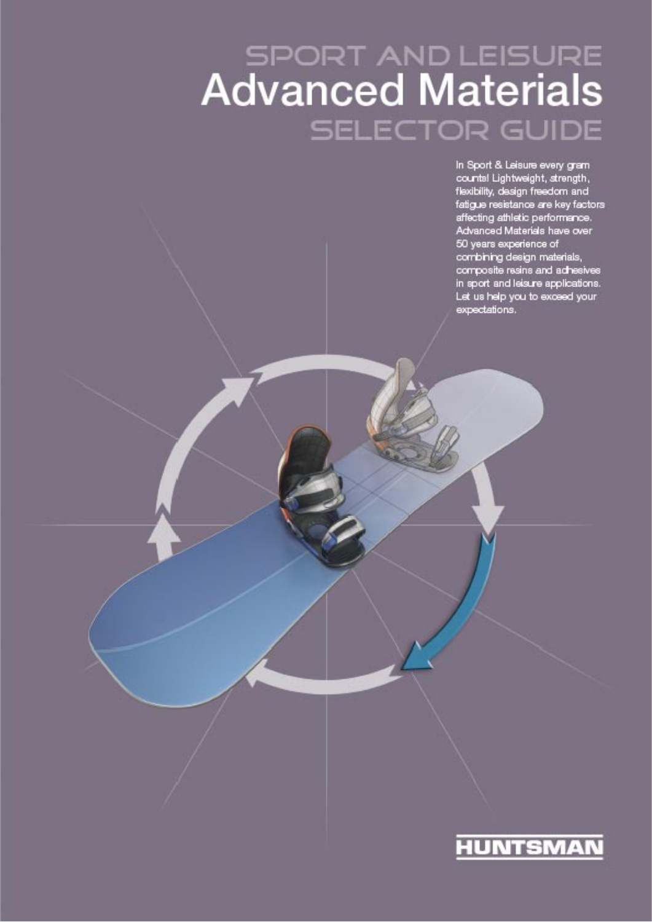# **SPORT AND LEISURE**<br>**Advanced Materials SELECTOR GUIDE**

In Sport & Leisure every gram counts! Lightweight, strength, flexibility, design freedom and<br>fatigue resistance are key factors affecting athletic performance. Advanced Materials have over 50 years experience of<br>combining design materials,<br>composite resins and achesives in sport and leisure applications. Let us help you to exceed your expectations.

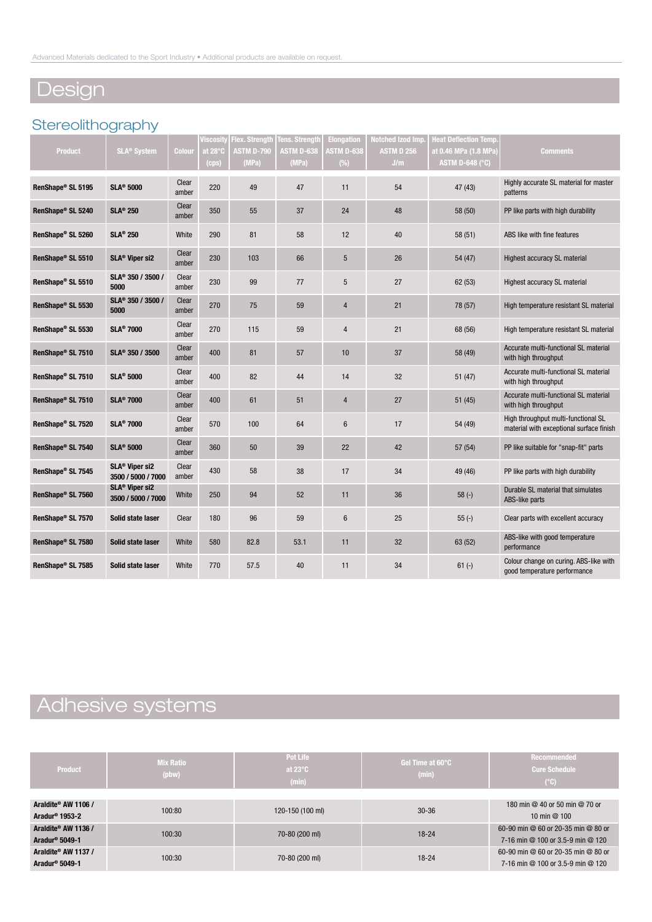# Design

### **Stereolithography**

|                   |                                                  |                | Viscosity | <b>Flex. Strength</b> | <b>Tens. Strength</b> | <b>Elongation</b> | <b>Notched Izod Imp</b> | <b>leat Deflection Temp.</b> |                                                                                 |
|-------------------|--------------------------------------------------|----------------|-----------|-----------------------|-----------------------|-------------------|-------------------------|------------------------------|---------------------------------------------------------------------------------|
| Product           | <b>SLA<sup>®</sup> System</b>                    | Colour         | at 28°C   | <b>ASTM D-790</b>     | <b>ASTM D-638</b>     | <b>STM D-638</b>  | ASTM D 256              | at 0.46 MPa (1.8 MPa)        | <b>Comments</b>                                                                 |
|                   |                                                  |                | (cps)     | (MPa)                 | (MPa)                 | $(\%)$            | J/m                     | <b>ASTM D-648 (°C)</b>       |                                                                                 |
| RenShape® SL 5195 | <b>SLA® 5000</b>                                 | Clear<br>amber | 220       | 49                    | 47                    | 11                | 54                      | 47 (43)                      | Highly accurate SL material for master<br>patterns                              |
| RenShape® SL 5240 | <b>SLA<sup>®</sup> 250</b>                       | Clear<br>amber | 350       | 55                    | 37                    | 24                | 48                      | 58 (50)                      | PP like parts with high durability                                              |
| RenShape® SL 5260 | <b>SLA® 250</b>                                  | White          | 290       | 81                    | 58                    | 12                | 40                      | 58(51)                       | ABS like with fine features                                                     |
| RenShape® SL 5510 | SLA <sup>®</sup> Viper si2                       | Clear<br>amber | 230       | 103                   | 66                    | 5                 | 26                      | 54 (47)                      | Highest accuracy SL material                                                    |
| RenShape® SL 5510 | SLA® 350 / 3500 /<br>5000                        | Clear<br>amber | 230       | 99                    | 77                    | 5                 | 27                      | 62 (53)                      | Highest accuracy SL material                                                    |
| RenShape® SL 5530 | SLA <sup>®</sup> 350 / 3500 /<br>5000            | Clear<br>amber | 270       | 75                    | 59                    | 4                 | 21                      | 78 (57)                      | High temperature resistant SL material                                          |
| RenShape® SL 5530 | <b>SLA<sup>®</sup> 7000</b>                      | Clear<br>amber | 270       | 115                   | 59                    | $\overline{4}$    | 21                      | 68 (56)                      | High temperature resistant SL material                                          |
| RenShape® SL 7510 | SLA <sup>®</sup> 350 / 3500                      | Clear<br>amber | 400       | 81                    | 57                    | 10                | 37                      | 58 (49)                      | Accurate multi-functional SL material<br>with high throughput                   |
| RenShape® SL 7510 | <b>SLA® 5000</b>                                 | Clear<br>amber | 400       | 82                    | 44                    | 14                | 32                      | 51(47)                       | Accurate multi-functional SL material<br>with high throughput                   |
| RenShape® SL 7510 | <b>SLA<sup>®</sup> 7000</b>                      | Clear<br>amber | 400       | 61                    | 51                    | 4                 | 27                      | 51(45)                       | Accurate multi-functional SL material<br>with high throughput                   |
| RenShape® SL 7520 | <b>SLA<sup>®</sup> 7000</b>                      | Clear<br>amber | 570       | 100                   | 64                    | $6\phantom{.}$    | 17                      | 54 (49)                      | High throughput multi-functional SL<br>material with exceptional surface finish |
| RenShape® SL 7540 | <b>SLA® 5000</b>                                 | Clear<br>amber | 360       | 50                    | 39                    | 22                | 42                      | 57(54)                       | PP like suitable for "snap-fit" parts                                           |
| RenShape® SL 7545 | SLA <sup>®</sup> Viper si2<br>3500 / 5000 / 7000 | Clear<br>amber | 430       | 58                    | 38                    | 17                | 34                      | 49 (46)                      | PP like parts with high durability                                              |
| RenShape® SL 7560 | SLA <sup>®</sup> Viper si2<br>3500 / 5000 / 7000 | White          | 250       | 94                    | 52                    | 11                | 36                      | $58(-)$                      | Durable SL material that simulates<br>ABS-like parts                            |
| RenShape® SL 7570 | Solid state laser                                | Clear          | 180       | 96                    | 59                    | $6\phantom{.}$    | 25                      | $55(-)$                      | Clear parts with excellent accuracy                                             |
| RenShape® SL 7580 | Solid state laser                                | White          | 580       | 82.8                  | 53.1                  | 11                | 32                      | 63 (52)                      | ABS-like with good temperature<br>performance                                   |
| RenShape® SL 7585 | Solid state laser                                | White          | 770       | 57.5                  | 40                    | 11                | 34                      | $61 (-)$                     | Colour change on curing. ABS-like with<br>good temperature performance          |

# Adhesive systems

| Product                                           | <b>Mix Ratio</b><br>(pbw) | Pot Life<br>at $23^{\circ}$ C<br>(min) | Gel Time at 60°C<br>(min) | <b>Recommended</b><br><b>Cure Schedule</b><br>$(^{\circ}C)$              |
|---------------------------------------------------|---------------------------|----------------------------------------|---------------------------|--------------------------------------------------------------------------|
| Araldite® AW 1106 /<br>Aradur <sup>®</sup> 1953-2 | 100:80                    | 120-150 (100 ml)                       | $30 - 36$                 | 180 min @ 40 or 50 min @ 70 or<br>10 min $@$ 100                         |
| Araldite® AW 1136 /<br>Aradur <sup>®</sup> 5049-1 | 100:30                    | 70-80 (200 ml)                         | $18 - 24$                 | 60-90 min @ 60 or 20-35 min @ 80 or<br>7-16 min @ 100 or 3.5-9 min @ 120 |
| Araldite® AW 1137 /<br>Aradur <sup>®</sup> 5049-1 | 100:30                    | 70-80 (200 ml)                         | $18 - 24$                 | 60-90 min @ 60 or 20-35 min @ 80 or<br>7-16 min @ 100 or 3.5-9 min @ 120 |